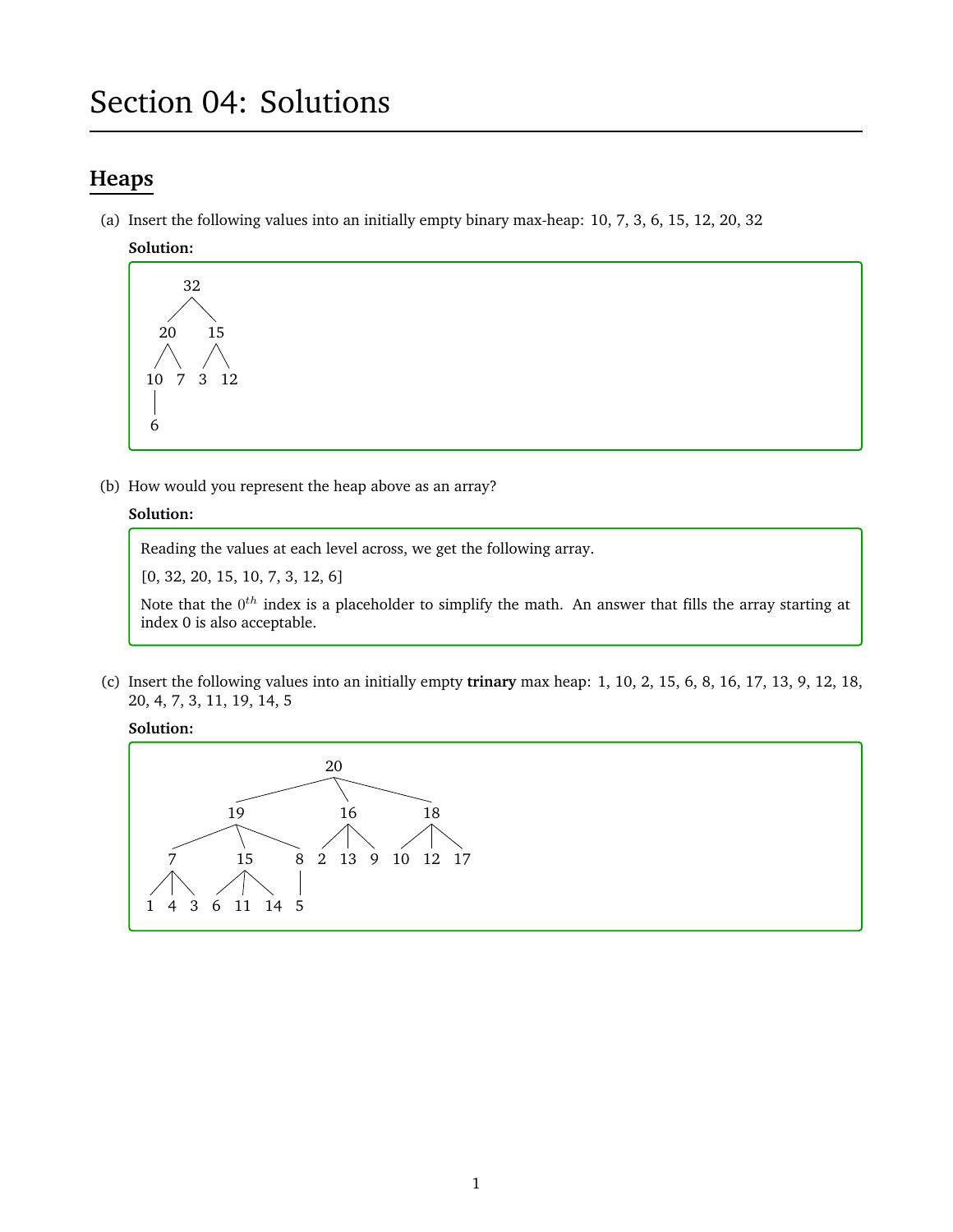# Section 04: Solutions

# **Heaps**

(a) Insert the following values into an initially empty binary max-heap: 10, 7, 3, 6, 15, 12, 20, 32

#### **Solution:**



(b) How would you represent the heap above as an array?

# **Solution:**

Reading the values at each level across, we get the following array.

[0, 32, 20, 15, 10, 7, 3, 12, 6]

Note that the  $0^{th}$  index is a placeholder to simplify the math. An answer that fills the array starting at index 0 is also acceptable.

(c) Insert the following values into an initially empty **trinary** max heap: 1, 10, 2, 15, 6, 8, 16, 17, 13, 9, 12, 18, 20, 4, 7, 3, 11, 19, 14, 5

**Solution:**

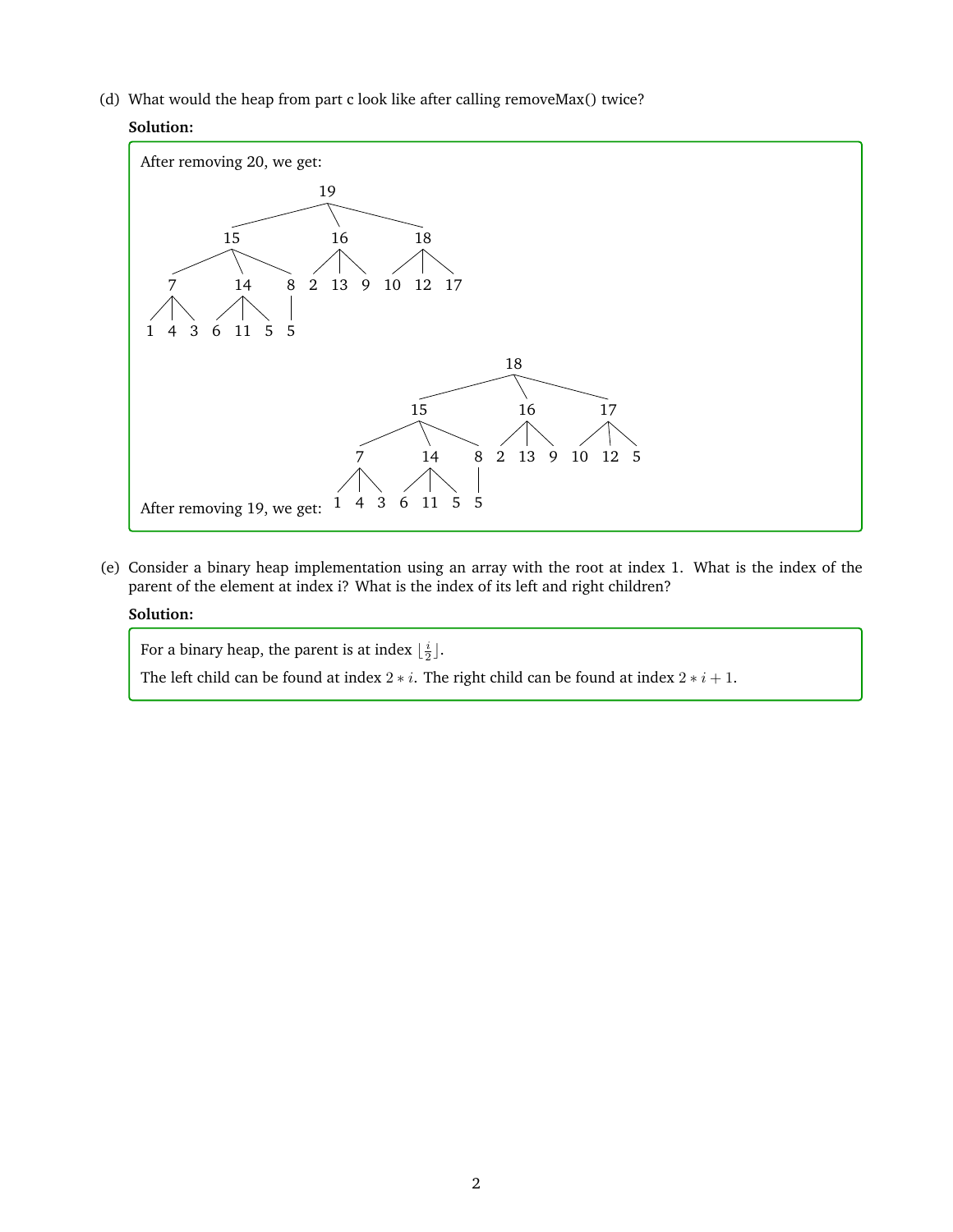(d) What would the heap from part c look like after calling removeMax() twice?

# **Solution:**



(e) Consider a binary heap implementation using an array with the root at index 1. What is the index of the parent of the element at index i? What is the index of its left and right children?

# **Solution:**

For a binary heap, the parent is at index  $\lfloor \frac{i}{2} \rfloor$ .

The left child can be found at index  $2 * i$ . The right child can be found at index  $2 * i + 1$ .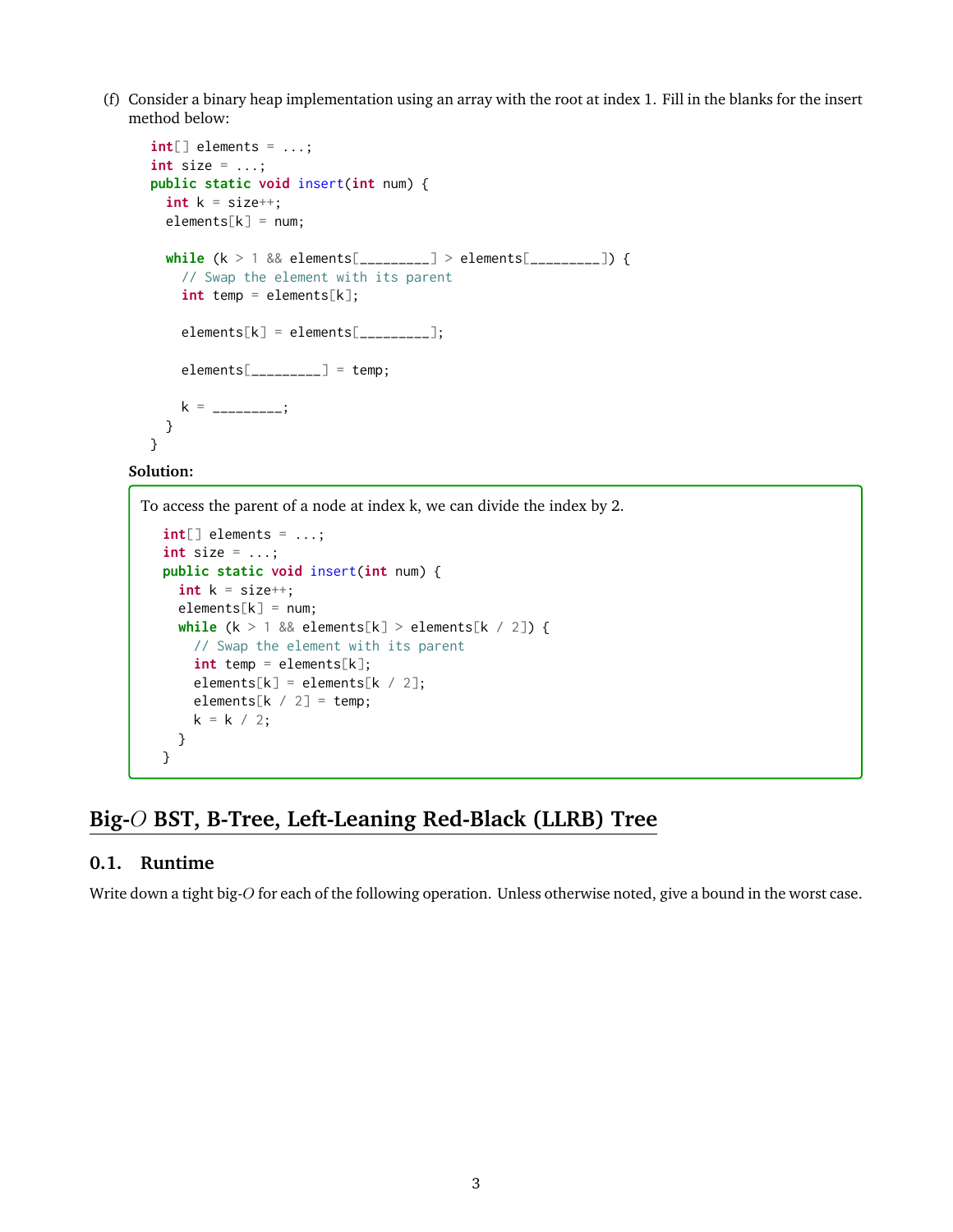(f) Consider a binary heap implementation using an array with the root at index 1. Fill in the blanks for the insert method below:

```
int[] elements = ...;
int size = ...;
public static void insert(int num) {
  int k = size++;elements[k] = num;while (k > 1 && elements[_________] > elements[_________]) {
    // Swap the element with its parent
    int temp = elements[k];
    \text{elements}[k] = \text{elements}[\dots];
    \text{elements}[\_\_\_\_\_\_\_\_\_\_\] = \text{temp};k = ________;
  }
}
```
# **Solution:**

To access the parent of a node at index k, we can divide the index by 2.

```
int[] elements = ...;
int size = ...;
public static void insert(int num) {
 int k = size++;elements[k] = num;while (k > 1 \& elements[k] > elements[k / 2]) {
   // Swap the element with its parent
    int temp = elements[k];
   elements[k] = elements[k / 2];
   elements[k / 2] = temp;
   k = k / 2;}
}
```
# **Big-**O **BST, B-Tree, Left-Leaning Red-Black (LLRB) Tree**

## **0.1. Runtime**

Write down a tight big-O for each of the following operation. Unless otherwise noted, give a bound in the worst case.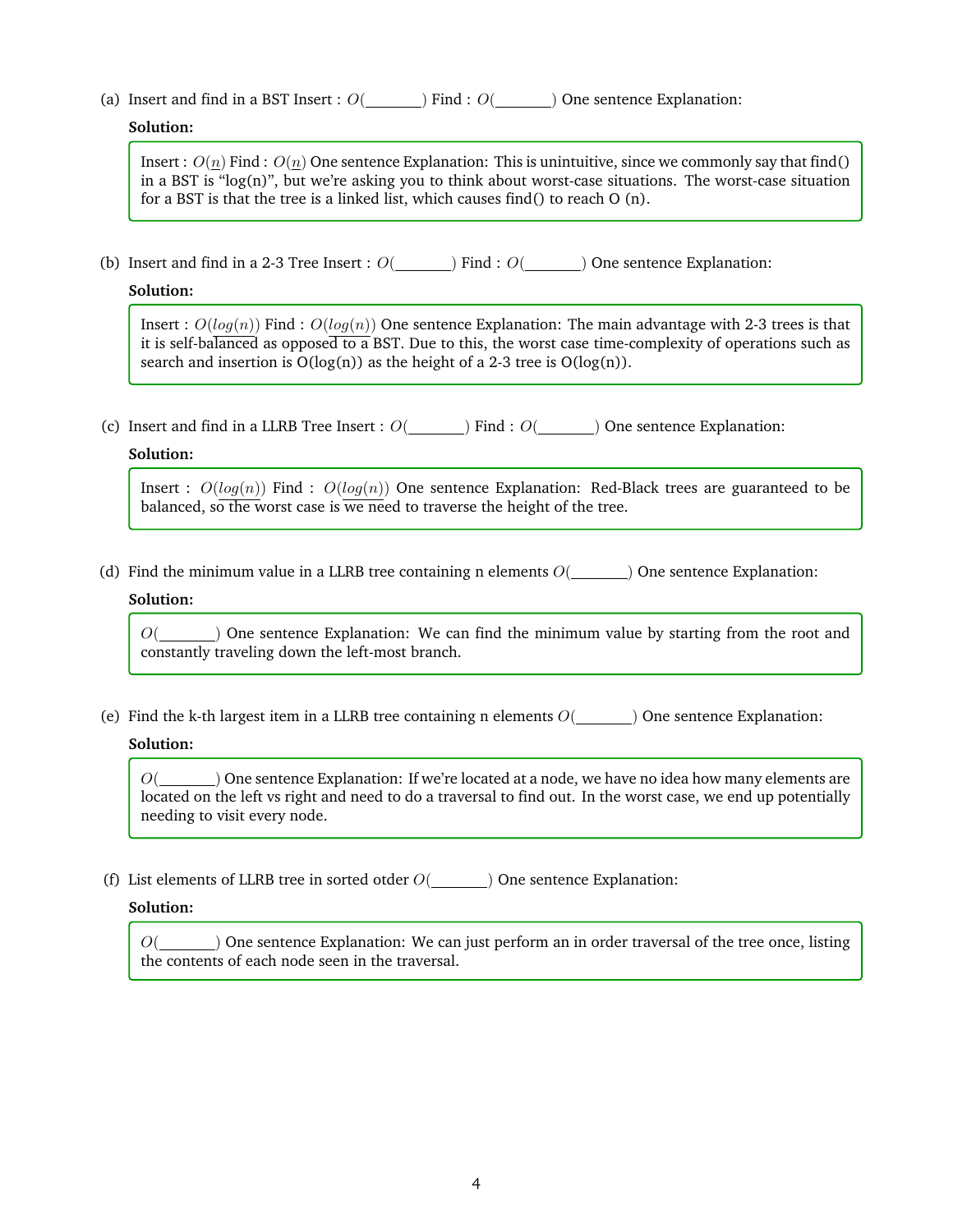(a) Insert and find in a BST Insert :  $O($   $)$  Find :  $O($   $)$  One sentence Explanation:

#### **Solution:**

Insert :  $O(n)$  Find :  $O(n)$  One sentence Explanation: This is unintuitive, since we commonly say that find() in a BST is "log(n)", but we're asking you to think about worst-case situations. The worst-case situation for a BST is that the tree is a linked list, which causes find() to reach O (n).

(b) Insert and find in a 2-3 Tree Insert :  $O(\underline{\hspace{2cm}})$  Find :  $O(\underline{\hspace{2cm}})$  One sentence Explanation:

#### **Solution:**

Insert :  $O(log(n))$  Find :  $O(log(n))$  One sentence Explanation: The main advantage with 2-3 trees is that it is self-balanced as opposed to a BST. Due to this, the worst case time-complexity of operations such as search and insertion is  $O(log(n))$  as the height of a 2-3 tree is  $O(log(n))$ .

(c) Insert and find in a LLRB Tree Insert :  $O(\underline{\hspace{1cm}})$  Find :  $O(\underline{\hspace{1cm}})$  One sentence Explanation:

#### **Solution:**

Insert :  $O(log(n))$  Find :  $O(log(n))$  One sentence Explanation: Red-Black trees are guaranteed to be balanced, so the worst case is we need to traverse the height of the tree.

(d) Find the minimum value in a LLRB tree containing n elements  $O($ ) One sentence Explanation:

#### **Solution:**

 $O($  ) One sentence Explanation: We can find the minimum value by starting from the root and constantly traveling down the left-most branch.

(e) Find the k-th largest item in a LLRB tree containing n elements  $O(\underline{\hspace{2cm}})$  One sentence Explanation:

#### **Solution:**

 $O(\underline{\hspace{2cm}})$  One sentence Explanation: If we're located at a node, we have no idea how many elements are located on the left vs right and need to do a traversal to find out. In the worst case, we end up potentially needing to visit every node.

(f) List elements of LLRB tree in sorted otder  $O($   $)$  One sentence Explanation:

# **Solution:**

 $O($   $)$  One sentence Explanation: We can just perform an in order traversal of the tree once, listing the contents of each node seen in the traversal.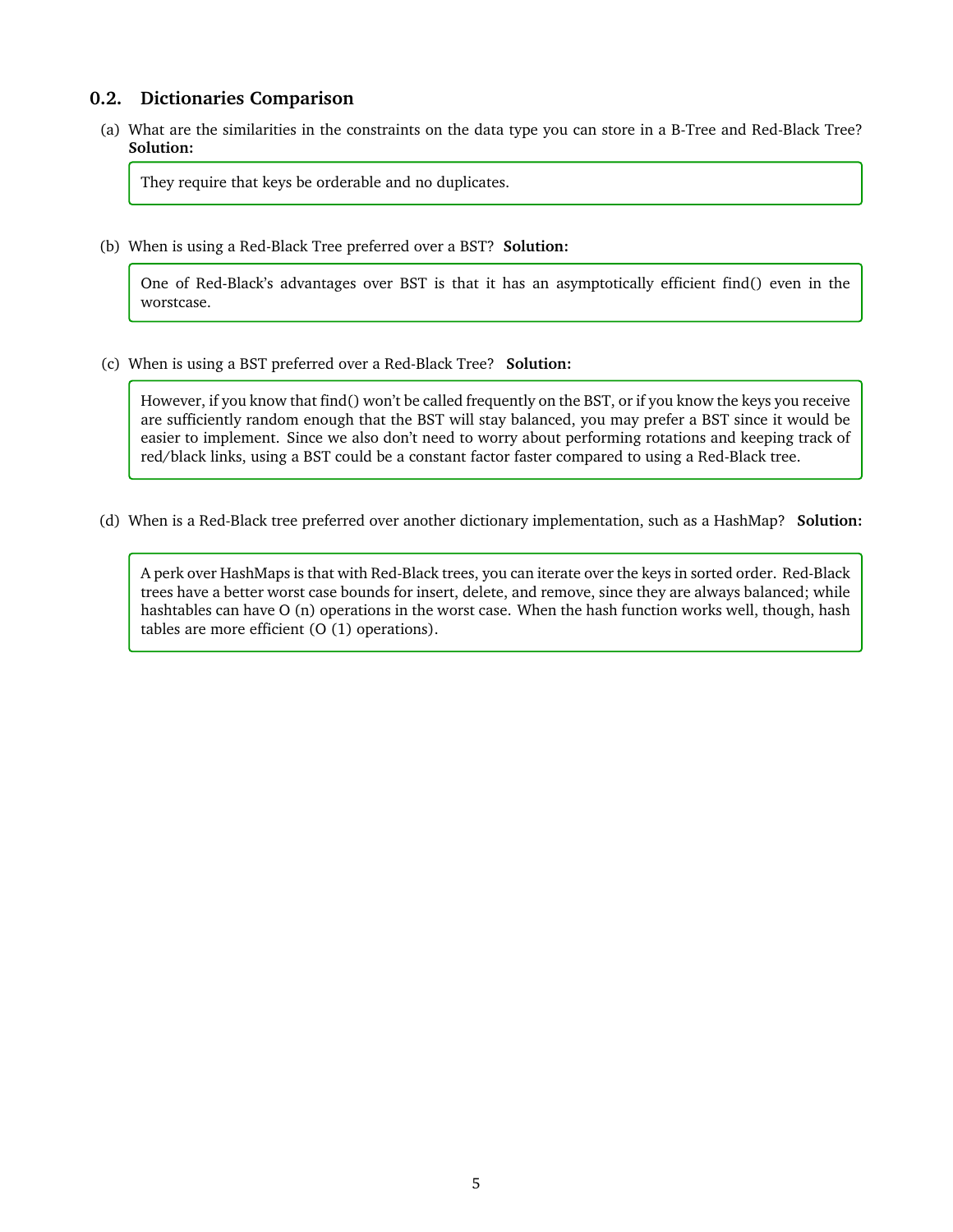# **0.2. Dictionaries Comparison**

(a) What are the similarities in the constraints on the data type you can store in a B-Tree and Red-Black Tree? **Solution:**

They require that keys be orderable and no duplicates.

(b) When is using a Red-Black Tree preferred over a BST? **Solution:**

One of Red-Black's advantages over BST is that it has an asymptotically efficient find() even in the worstcase.

(c) When is using a BST preferred over a Red-Black Tree? **Solution:**

However, if you know that find() won't be called frequently on the BST, or if you know the keys you receive are sufficiently random enough that the BST will stay balanced, you may prefer a BST since it would be easier to implement. Since we also don't need to worry about performing rotations and keeping track of red/black links, using a BST could be a constant factor faster compared to using a Red-Black tree.

(d) When is a Red-Black tree preferred over another dictionary implementation, such as a HashMap? **Solution:**

A perk over HashMaps is that with Red-Black trees, you can iterate over the keys in sorted order. Red-Black trees have a better worst case bounds for insert, delete, and remove, since they are always balanced; while hashtables can have O (n) operations in the worst case. When the hash function works well, though, hash tables are more efficient (O (1) operations).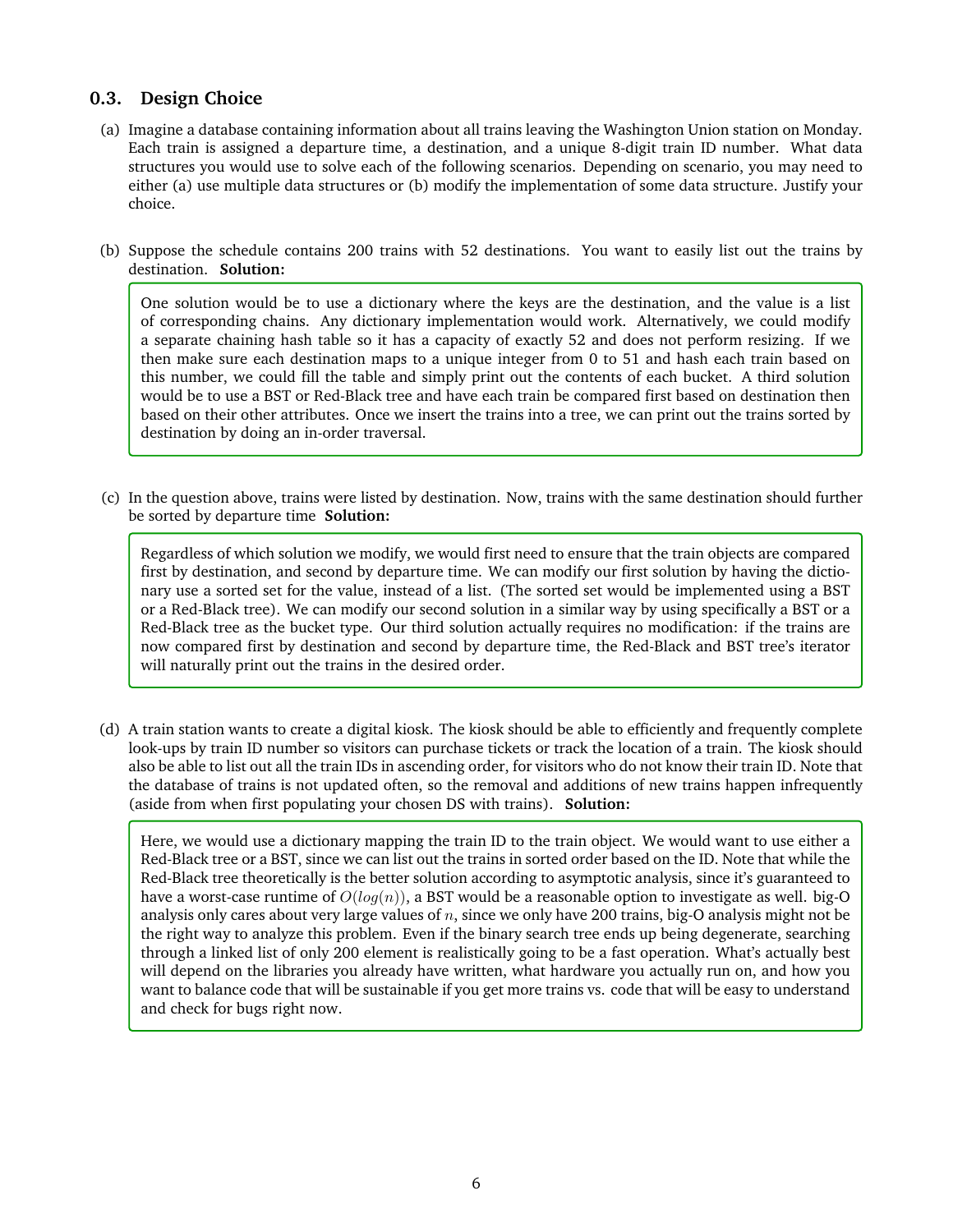# **0.3. Design Choice**

- (a) Imagine a database containing information about all trains leaving the Washington Union station on Monday. Each train is assigned a departure time, a destination, and a unique 8-digit train ID number. What data structures you would use to solve each of the following scenarios. Depending on scenario, you may need to either (a) use multiple data structures or (b) modify the implementation of some data structure. Justify your choice.
- (b) Suppose the schedule contains 200 trains with 52 destinations. You want to easily list out the trains by destination. **Solution:**

One solution would be to use a dictionary where the keys are the destination, and the value is a list of corresponding chains. Any dictionary implementation would work. Alternatively, we could modify a separate chaining hash table so it has a capacity of exactly 52 and does not perform resizing. If we then make sure each destination maps to a unique integer from 0 to 51 and hash each train based on this number, we could fill the table and simply print out the contents of each bucket. A third solution would be to use a BST or Red-Black tree and have each train be compared first based on destination then based on their other attributes. Once we insert the trains into a tree, we can print out the trains sorted by destination by doing an in-order traversal.

(c) In the question above, trains were listed by destination. Now, trains with the same destination should further be sorted by departure time **Solution:**

Regardless of which solution we modify, we would first need to ensure that the train objects are compared first by destination, and second by departure time. We can modify our first solution by having the dictionary use a sorted set for the value, instead of a list. (The sorted set would be implemented using a BST or a Red-Black tree). We can modify our second solution in a similar way by using specifically a BST or a Red-Black tree as the bucket type. Our third solution actually requires no modification: if the trains are now compared first by destination and second by departure time, the Red-Black and BST tree's iterator will naturally print out the trains in the desired order.

(d) A train station wants to create a digital kiosk. The kiosk should be able to efficiently and frequently complete look-ups by train ID number so visitors can purchase tickets or track the location of a train. The kiosk should also be able to list out all the train IDs in ascending order, for visitors who do not know their train ID. Note that the database of trains is not updated often, so the removal and additions of new trains happen infrequently (aside from when first populating your chosen DS with trains). **Solution:**

Here, we would use a dictionary mapping the train ID to the train object. We would want to use either a Red-Black tree or a BST, since we can list out the trains in sorted order based on the ID. Note that while the Red-Black tree theoretically is the better solution according to asymptotic analysis, since it's guaranteed to have a worst-case runtime of  $O(log(n))$ , a BST would be a reasonable option to investigate as well. big-O analysis only cares about very large values of  $n$ , since we only have 200 trains, big-O analysis might not be the right way to analyze this problem. Even if the binary search tree ends up being degenerate, searching through a linked list of only 200 element is realistically going to be a fast operation. What's actually best will depend on the libraries you already have written, what hardware you actually run on, and how you want to balance code that will be sustainable if you get more trains vs. code that will be easy to understand and check for bugs right now.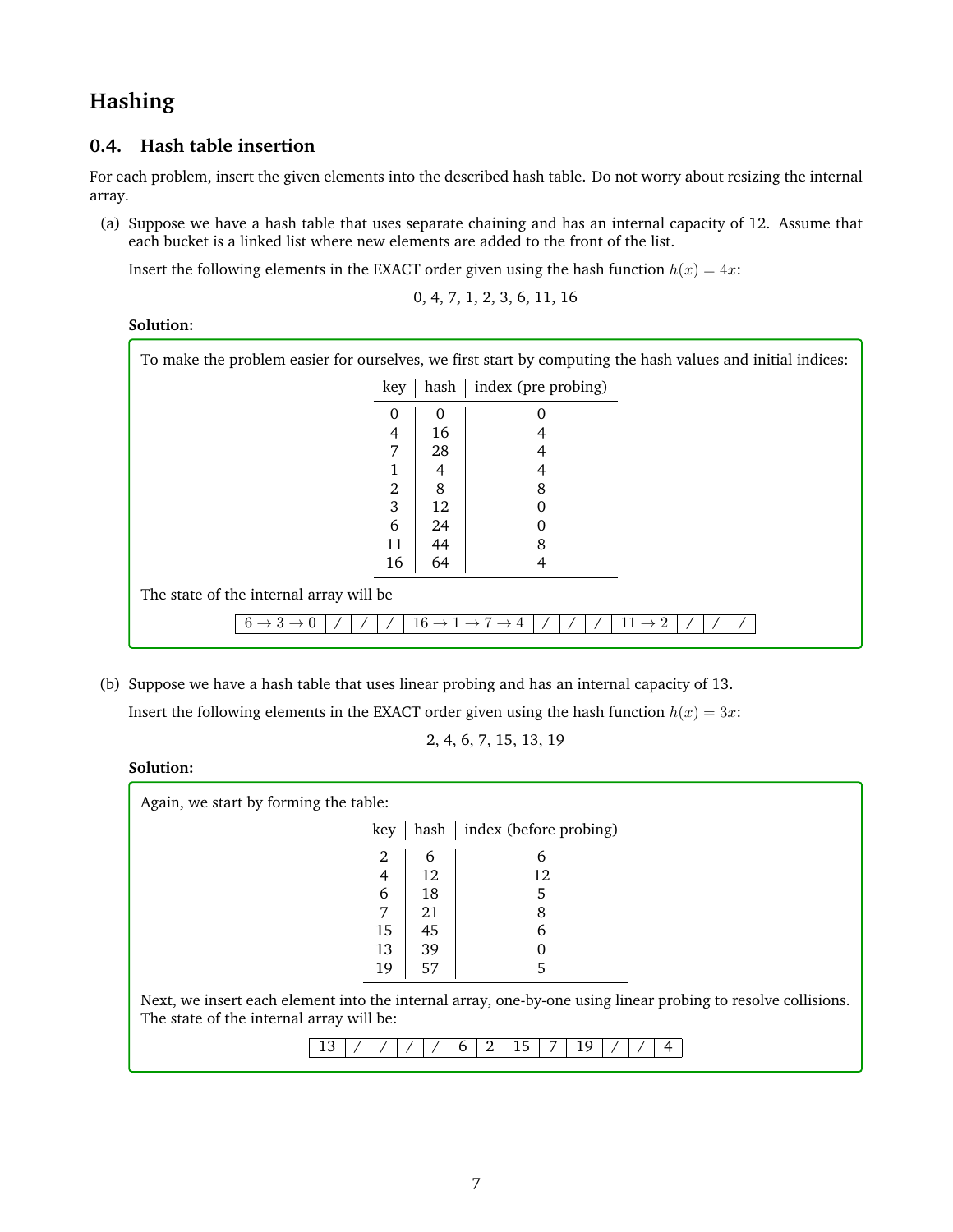# **Hashing**

# **0.4. Hash table insertion**

For each problem, insert the given elements into the described hash table. Do not worry about resizing the internal array.

(a) Suppose we have a hash table that uses separate chaining and has an internal capacity of 12. Assume that each bucket is a linked list where new elements are added to the front of the list.

Insert the following elements in the EXACT order given using the hash function  $h(x) = 4x$ :

$$
0, 4, 7, 1, 2, 3, 6, 11, 16
$$

# **Solution:**

| To make the problem easier for ourselves, we first start by computing the hash values and initial indices: |          |      |                     |  |  |
|------------------------------------------------------------------------------------------------------------|----------|------|---------------------|--|--|
|                                                                                                            | key      | hash | index (pre probing) |  |  |
|                                                                                                            | $\Omega$ | 0    |                     |  |  |
|                                                                                                            | 4        | 16   |                     |  |  |
|                                                                                                            | 7        | 28   |                     |  |  |
|                                                                                                            |          | 4    |                     |  |  |
|                                                                                                            | 2        | 8    | 8                   |  |  |
|                                                                                                            | 3        | 12   |                     |  |  |
|                                                                                                            | 6        | 24   |                     |  |  |
|                                                                                                            | 11       | 44   | 8                   |  |  |
|                                                                                                            | 16       | 64   |                     |  |  |
| The state of the internal array will be                                                                    |          |      |                     |  |  |
| $16 \rightarrow 1 \rightarrow 7 \rightarrow 4$<br>$11\rightarrow2$<br>$6 \rightarrow 3 \rightarrow 0$      |          |      |                     |  |  |

(b) Suppose we have a hash table that uses linear probing and has an internal capacity of 13.

Insert the following elements in the EXACT order given using the hash function  $h(x) = 3x$ :

2, 4, 6, 7, 15, 13, 19

#### **Solution:**

| Again, we start by forming the table:                                                                                                                    |      |                        |  |  |  |  |
|----------------------------------------------------------------------------------------------------------------------------------------------------------|------|------------------------|--|--|--|--|
| key                                                                                                                                                      | hash | index (before probing) |  |  |  |  |
| 2                                                                                                                                                        | 6    | 6                      |  |  |  |  |
| 4                                                                                                                                                        | 12   | 12                     |  |  |  |  |
| 6                                                                                                                                                        | 18   | 5                      |  |  |  |  |
| 7                                                                                                                                                        | 21   | 8                      |  |  |  |  |
| 15                                                                                                                                                       | 45   | 6                      |  |  |  |  |
| 13                                                                                                                                                       | 39   |                        |  |  |  |  |
| 19                                                                                                                                                       | 57   | 5                      |  |  |  |  |
| Next, we insert each element into the internal array, one-by-one using linear probing to resolve collisions.<br>The state of the internal array will be: |      |                        |  |  |  |  |
| 3                                                                                                                                                        |      | 15<br>19<br>b          |  |  |  |  |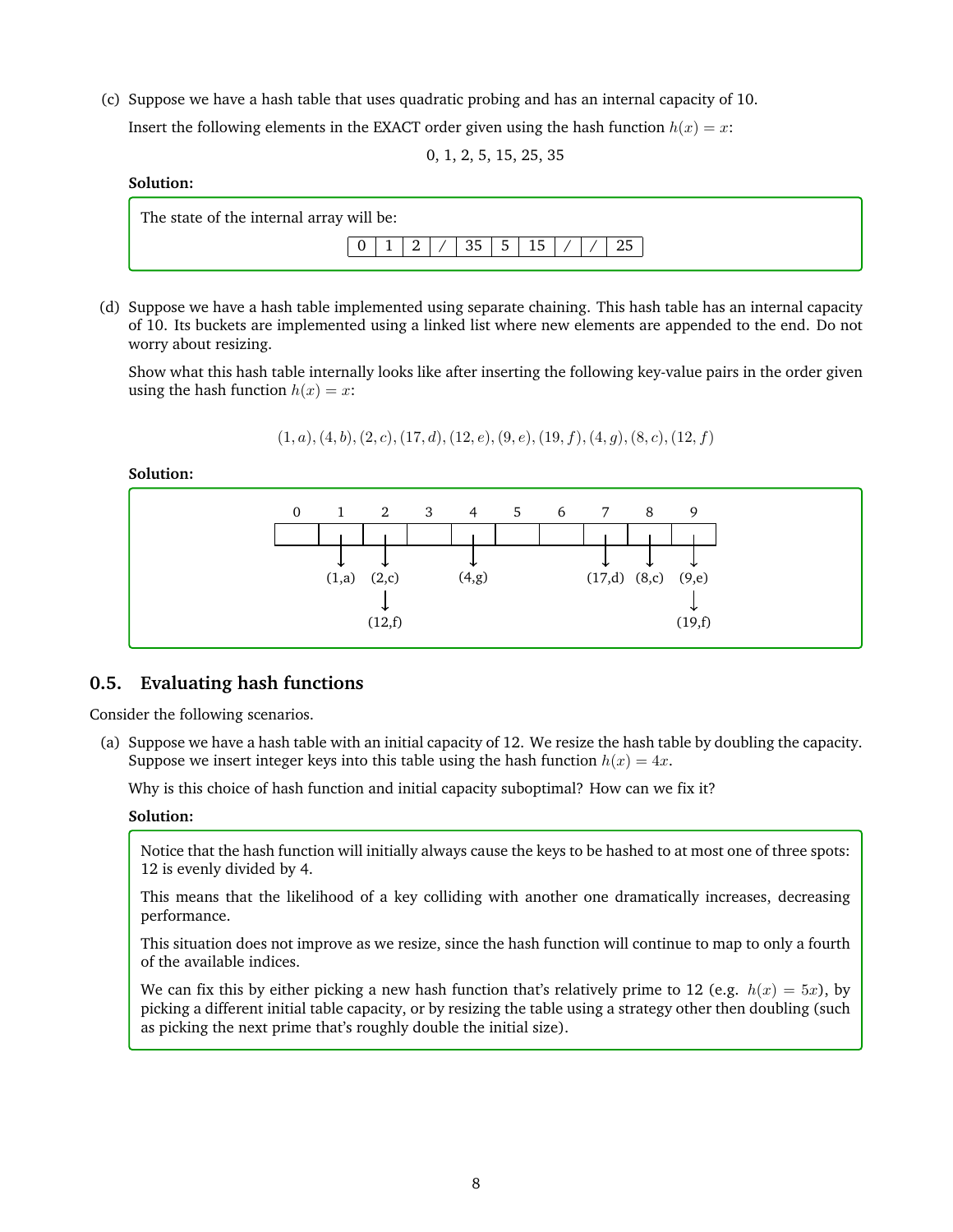(c) Suppose we have a hash table that uses quadratic probing and has an internal capacity of 10. Insert the following elements in the EXACT order given using the hash function  $h(x) = x$ :

0, 1, 2, 5, 15, 25, 35

# **Solution:**



(d) Suppose we have a hash table implemented using separate chaining. This hash table has an internal capacity of 10. Its buckets are implemented using a linked list where new elements are appended to the end. Do not worry about resizing.

Show what this hash table internally looks like after inserting the following key-value pairs in the order given using the hash function  $h(x) = x$ :

$$
(1, a), (4, b), (2, c), (17, d), (12, e), (9, e), (19, f), (4, g), (8, c), (12, f)
$$

**Solution:**



# **0.5. Evaluating hash functions**

Consider the following scenarios.

(a) Suppose we have a hash table with an initial capacity of 12. We resize the hash table by doubling the capacity. Suppose we insert integer keys into this table using the hash function  $h(x) = 4x$ .

Why is this choice of hash function and initial capacity suboptimal? How can we fix it?

#### **Solution:**

Notice that the hash function will initially always cause the keys to be hashed to at most one of three spots: 12 is evenly divided by 4.

This means that the likelihood of a key colliding with another one dramatically increases, decreasing performance.

This situation does not improve as we resize, since the hash function will continue to map to only a fourth of the available indices.

We can fix this by either picking a new hash function that's relatively prime to 12 (e.g.  $h(x) = 5x$ ), by picking a different initial table capacity, or by resizing the table using a strategy other then doubling (such as picking the next prime that's roughly double the initial size).